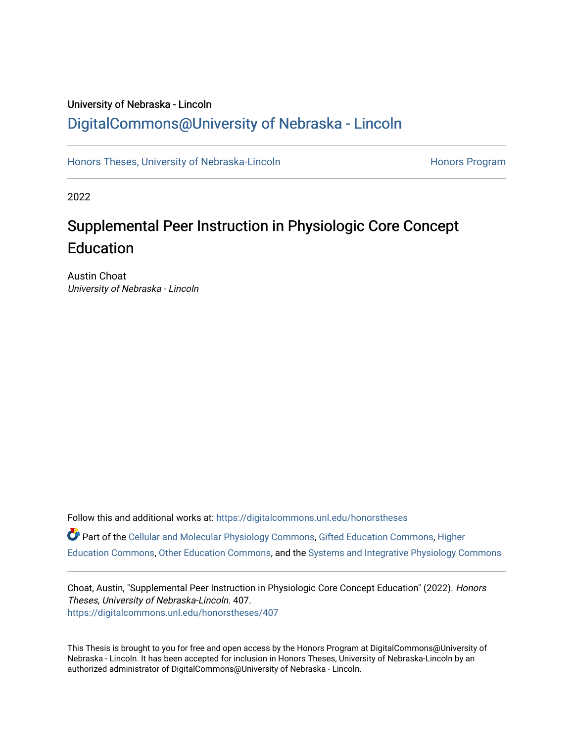## University of Nebraska - Lincoln [DigitalCommons@University of Nebraska - Lincoln](https://digitalcommons.unl.edu/)

[Honors Theses, University of Nebraska-Lincoln](https://digitalcommons.unl.edu/honorstheses) **Honors Program** Honors Program

2022

# Supplemental Peer Instruction in Physiologic Core Concept **Education**

Austin Choat University of Nebraska - Lincoln

Follow this and additional works at: [https://digitalcommons.unl.edu/honorstheses](https://digitalcommons.unl.edu/honorstheses?utm_source=digitalcommons.unl.edu%2Fhonorstheses%2F407&utm_medium=PDF&utm_campaign=PDFCoverPages) Part of the [Cellular and Molecular Physiology Commons,](http://network.bepress.com/hgg/discipline/70?utm_source=digitalcommons.unl.edu%2Fhonorstheses%2F407&utm_medium=PDF&utm_campaign=PDFCoverPages) [Gifted Education Commons](http://network.bepress.com/hgg/discipline/1048?utm_source=digitalcommons.unl.edu%2Fhonorstheses%2F407&utm_medium=PDF&utm_campaign=PDFCoverPages), [Higher](http://network.bepress.com/hgg/discipline/1245?utm_source=digitalcommons.unl.edu%2Fhonorstheses%2F407&utm_medium=PDF&utm_campaign=PDFCoverPages) [Education Commons,](http://network.bepress.com/hgg/discipline/1245?utm_source=digitalcommons.unl.edu%2Fhonorstheses%2F407&utm_medium=PDF&utm_campaign=PDFCoverPages) [Other Education Commons](http://network.bepress.com/hgg/discipline/811?utm_source=digitalcommons.unl.edu%2Fhonorstheses%2F407&utm_medium=PDF&utm_campaign=PDFCoverPages), and the [Systems and Integrative Physiology Commons](http://network.bepress.com/hgg/discipline/74?utm_source=digitalcommons.unl.edu%2Fhonorstheses%2F407&utm_medium=PDF&utm_campaign=PDFCoverPages)

Choat, Austin, "Supplemental Peer Instruction in Physiologic Core Concept Education" (2022). Honors Theses, University of Nebraska-Lincoln. 407. [https://digitalcommons.unl.edu/honorstheses/407](https://digitalcommons.unl.edu/honorstheses/407?utm_source=digitalcommons.unl.edu%2Fhonorstheses%2F407&utm_medium=PDF&utm_campaign=PDFCoverPages)

This Thesis is brought to you for free and open access by the Honors Program at DigitalCommons@University of Nebraska - Lincoln. It has been accepted for inclusion in Honors Theses, University of Nebraska-Lincoln by an authorized administrator of DigitalCommons@University of Nebraska - Lincoln.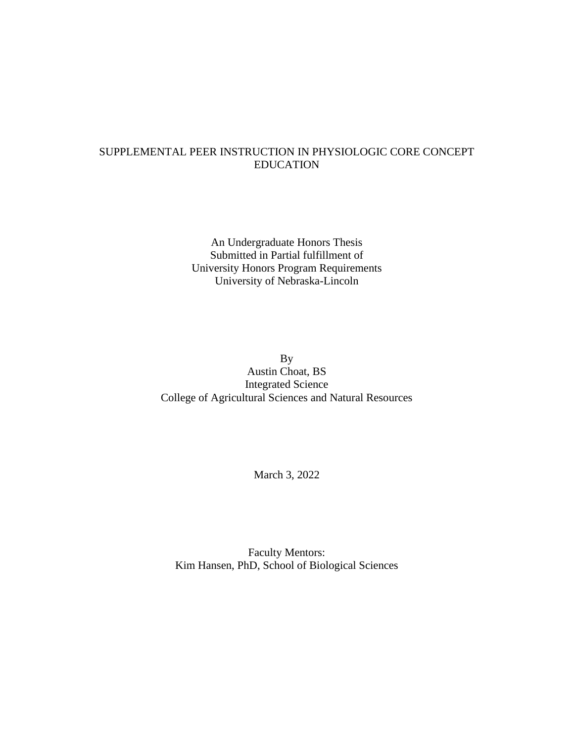### SUPPLEMENTAL PEER INSTRUCTION IN PHYSIOLOGIC CORE CONCEPT EDUCATION

An Undergraduate Honors Thesis Submitted in Partial fulfillment of University Honors Program Requirements University of Nebraska-Lincoln

By Austin Choat, BS Integrated Science College of Agricultural Sciences and Natural Resources

March 3, 2022

Faculty Mentors: Kim Hansen, PhD, School of Biological Sciences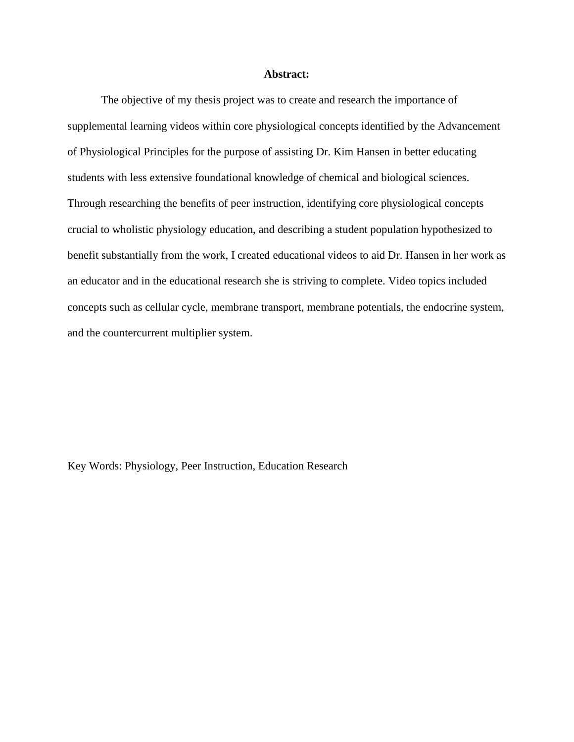#### **Abstract:**

The objective of my thesis project was to create and research the importance of supplemental learning videos within core physiological concepts identified by the Advancement of Physiological Principles for the purpose of assisting Dr. Kim Hansen in better educating students with less extensive foundational knowledge of chemical and biological sciences. Through researching the benefits of peer instruction, identifying core physiological concepts crucial to wholistic physiology education, and describing a student population hypothesized to benefit substantially from the work, I created educational videos to aid Dr. Hansen in her work as an educator and in the educational research she is striving to complete. Video topics included concepts such as cellular cycle, membrane transport, membrane potentials, the endocrine system, and the countercurrent multiplier system.

Key Words: Physiology, Peer Instruction, Education Research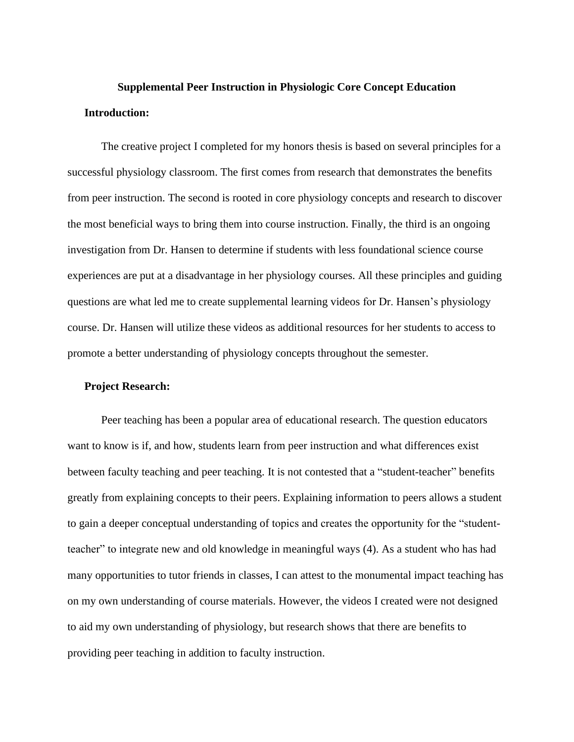## **Supplemental Peer Instruction in Physiologic Core Concept Education Introduction:**

The creative project I completed for my honors thesis is based on several principles for a successful physiology classroom. The first comes from research that demonstrates the benefits from peer instruction. The second is rooted in core physiology concepts and research to discover the most beneficial ways to bring them into course instruction. Finally, the third is an ongoing investigation from Dr. Hansen to determine if students with less foundational science course experiences are put at a disadvantage in her physiology courses. All these principles and guiding questions are what led me to create supplemental learning videos for Dr. Hansen's physiology course. Dr. Hansen will utilize these videos as additional resources for her students to access to promote a better understanding of physiology concepts throughout the semester.

#### **Project Research:**

Peer teaching has been a popular area of educational research. The question educators want to know is if, and how, students learn from peer instruction and what differences exist between faculty teaching and peer teaching. It is not contested that a "student-teacher" benefits greatly from explaining concepts to their peers. Explaining information to peers allows a student to gain a deeper conceptual understanding of topics and creates the opportunity for the "studentteacher" to integrate new and old knowledge in meaningful ways (4). As a student who has had many opportunities to tutor friends in classes, I can attest to the monumental impact teaching has on my own understanding of course materials. However, the videos I created were not designed to aid my own understanding of physiology, but research shows that there are benefits to providing peer teaching in addition to faculty instruction.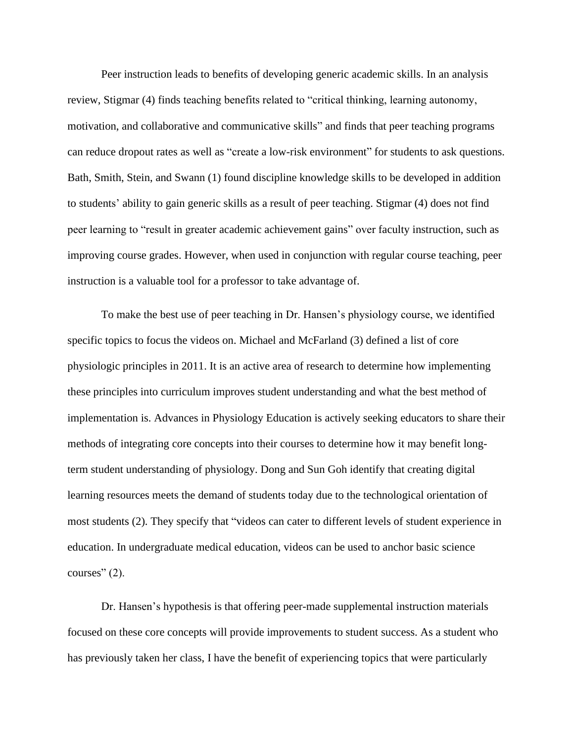Peer instruction leads to benefits of developing generic academic skills. In an analysis review, Stigmar (4) finds teaching benefits related to "critical thinking, learning autonomy, motivation, and collaborative and communicative skills" and finds that peer teaching programs can reduce dropout rates as well as "create a low-risk environment" for students to ask questions. Bath, Smith, Stein, and Swann (1) found discipline knowledge skills to be developed in addition to students' ability to gain generic skills as a result of peer teaching. Stigmar (4) does not find peer learning to "result in greater academic achievement gains" over faculty instruction, such as improving course grades. However, when used in conjunction with regular course teaching, peer instruction is a valuable tool for a professor to take advantage of.

To make the best use of peer teaching in Dr. Hansen's physiology course, we identified specific topics to focus the videos on. Michael and McFarland (3) defined a list of core physiologic principles in 2011. It is an active area of research to determine how implementing these principles into curriculum improves student understanding and what the best method of implementation is. Advances in Physiology Education is actively seeking educators to share their methods of integrating core concepts into their courses to determine how it may benefit longterm student understanding of physiology. Dong and Sun Goh identify that creating digital learning resources meets the demand of students today due to the technological orientation of most students (2). They specify that "videos can cater to different levels of student experience in education. In undergraduate medical education, videos can be used to anchor basic science courses" (2).

Dr. Hansen's hypothesis is that offering peer-made supplemental instruction materials focused on these core concepts will provide improvements to student success. As a student who has previously taken her class, I have the benefit of experiencing topics that were particularly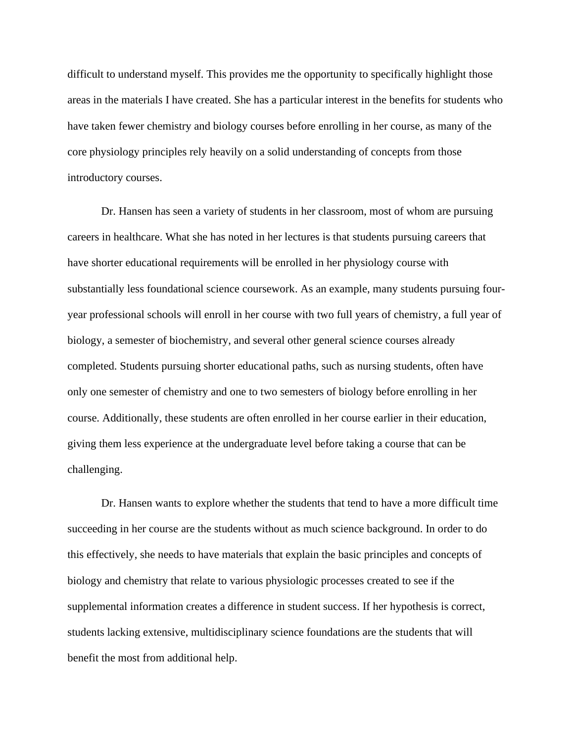difficult to understand myself. This provides me the opportunity to specifically highlight those areas in the materials I have created. She has a particular interest in the benefits for students who have taken fewer chemistry and biology courses before enrolling in her course, as many of the core physiology principles rely heavily on a solid understanding of concepts from those introductory courses.

Dr. Hansen has seen a variety of students in her classroom, most of whom are pursuing careers in healthcare. What she has noted in her lectures is that students pursuing careers that have shorter educational requirements will be enrolled in her physiology course with substantially less foundational science coursework. As an example, many students pursuing fouryear professional schools will enroll in her course with two full years of chemistry, a full year of biology, a semester of biochemistry, and several other general science courses already completed. Students pursuing shorter educational paths, such as nursing students, often have only one semester of chemistry and one to two semesters of biology before enrolling in her course. Additionally, these students are often enrolled in her course earlier in their education, giving them less experience at the undergraduate level before taking a course that can be challenging.

Dr. Hansen wants to explore whether the students that tend to have a more difficult time succeeding in her course are the students without as much science background. In order to do this effectively, she needs to have materials that explain the basic principles and concepts of biology and chemistry that relate to various physiologic processes created to see if the supplemental information creates a difference in student success. If her hypothesis is correct, students lacking extensive, multidisciplinary science foundations are the students that will benefit the most from additional help.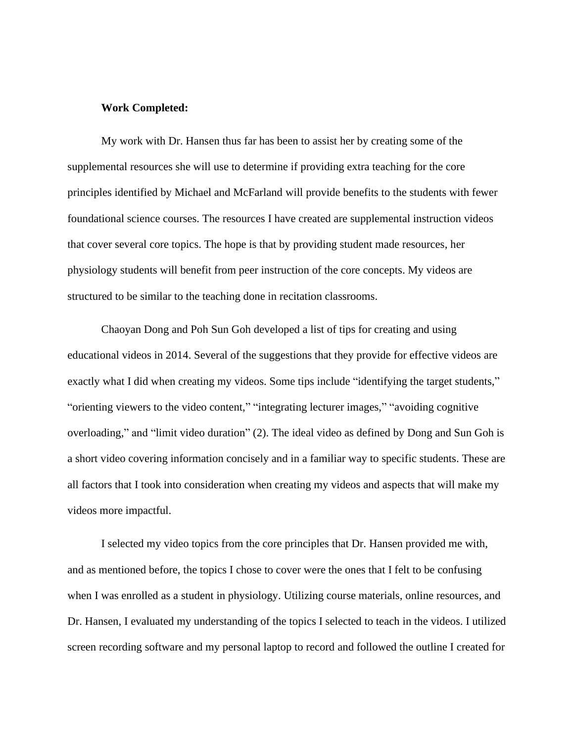#### **Work Completed:**

My work with Dr. Hansen thus far has been to assist her by creating some of the supplemental resources she will use to determine if providing extra teaching for the core principles identified by Michael and McFarland will provide benefits to the students with fewer foundational science courses. The resources I have created are supplemental instruction videos that cover several core topics. The hope is that by providing student made resources, her physiology students will benefit from peer instruction of the core concepts. My videos are structured to be similar to the teaching done in recitation classrooms.

Chaoyan Dong and Poh Sun Goh developed a list of tips for creating and using educational videos in 2014. Several of the suggestions that they provide for effective videos are exactly what I did when creating my videos. Some tips include "identifying the target students," "orienting viewers to the video content," "integrating lecturer images," "avoiding cognitive overloading," and "limit video duration" (2). The ideal video as defined by Dong and Sun Goh is a short video covering information concisely and in a familiar way to specific students. These are all factors that I took into consideration when creating my videos and aspects that will make my videos more impactful.

I selected my video topics from the core principles that Dr. Hansen provided me with, and as mentioned before, the topics I chose to cover were the ones that I felt to be confusing when I was enrolled as a student in physiology. Utilizing course materials, online resources, and Dr. Hansen, I evaluated my understanding of the topics I selected to teach in the videos. I utilized screen recording software and my personal laptop to record and followed the outline I created for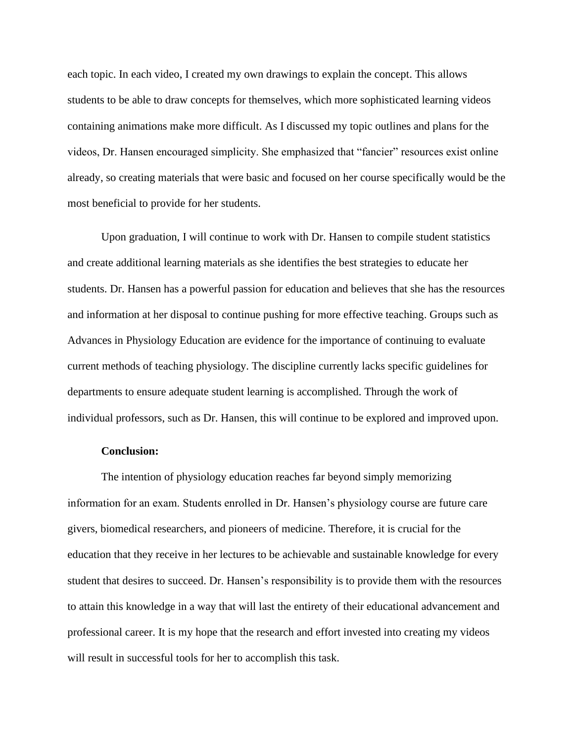each topic. In each video, I created my own drawings to explain the concept. This allows students to be able to draw concepts for themselves, which more sophisticated learning videos containing animations make more difficult. As I discussed my topic outlines and plans for the videos, Dr. Hansen encouraged simplicity. She emphasized that "fancier" resources exist online already, so creating materials that were basic and focused on her course specifically would be the most beneficial to provide for her students.

Upon graduation, I will continue to work with Dr. Hansen to compile student statistics and create additional learning materials as she identifies the best strategies to educate her students. Dr. Hansen has a powerful passion for education and believes that she has the resources and information at her disposal to continue pushing for more effective teaching. Groups such as Advances in Physiology Education are evidence for the importance of continuing to evaluate current methods of teaching physiology. The discipline currently lacks specific guidelines for departments to ensure adequate student learning is accomplished. Through the work of individual professors, such as Dr. Hansen, this will continue to be explored and improved upon.

#### **Conclusion:**

The intention of physiology education reaches far beyond simply memorizing information for an exam. Students enrolled in Dr. Hansen's physiology course are future care givers, biomedical researchers, and pioneers of medicine. Therefore, it is crucial for the education that they receive in her lectures to be achievable and sustainable knowledge for every student that desires to succeed. Dr. Hansen's responsibility is to provide them with the resources to attain this knowledge in a way that will last the entirety of their educational advancement and professional career. It is my hope that the research and effort invested into creating my videos will result in successful tools for her to accomplish this task.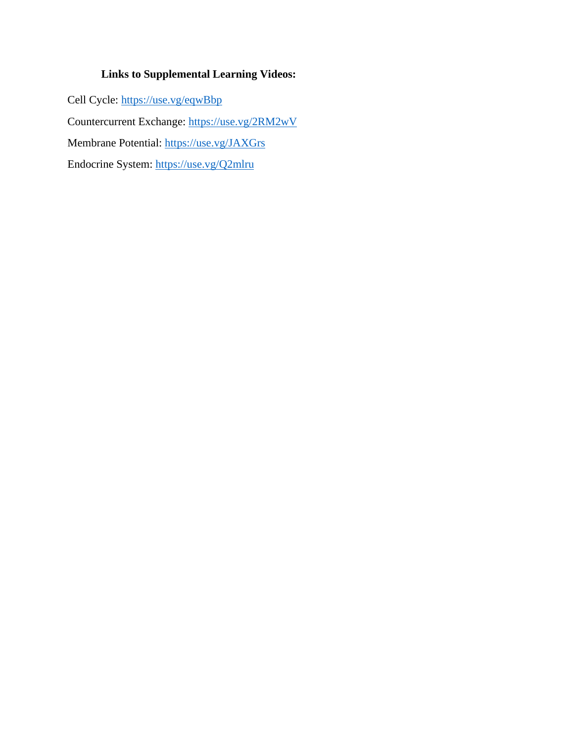### **Links to Supplemental Learning Videos:**

Cell Cycle: <https://use.vg/eqwBbp> Countercurrent Exchange: <https://use.vg/2RM2wV> Membrane Potential: <https://use.vg/JAXGrs> Endocrine System:<https://use.vg/Q2mlru>